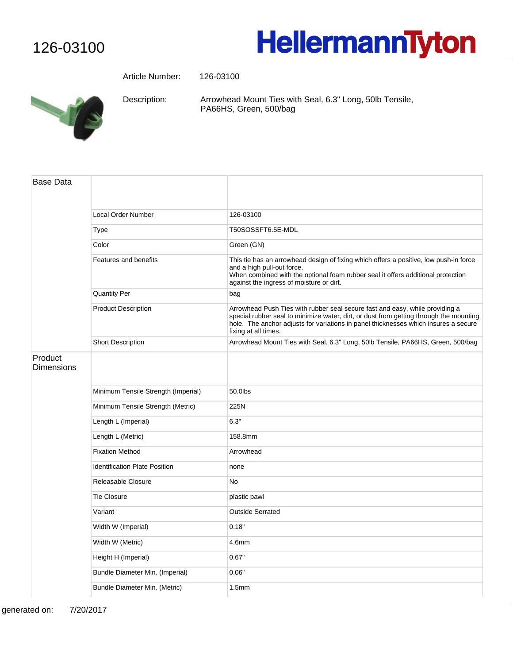## **HellermannTyton**

Article Number: 126-03100



Arrowhead Mount Ties with Seal, 6.3" Long, 50lb Tensile, PA66HS, Green, 500/bag Description:

| Base Data             |                                      |                                                                                                                                                                                                                                                                                       |
|-----------------------|--------------------------------------|---------------------------------------------------------------------------------------------------------------------------------------------------------------------------------------------------------------------------------------------------------------------------------------|
|                       | Local Order Number                   | 126-03100                                                                                                                                                                                                                                                                             |
|                       | Type                                 | T50SOSSFT6.5E-MDL                                                                                                                                                                                                                                                                     |
|                       | Color                                | Green (GN)                                                                                                                                                                                                                                                                            |
|                       | Features and benefits                | This tie has an arrowhead design of fixing which offers a positive, low push-in force<br>and a high pull-out force.<br>When combined with the optional foam rubber seal it offers additional protection<br>against the ingress of moisture or dirt.                                   |
|                       | <b>Quantity Per</b>                  | bag                                                                                                                                                                                                                                                                                   |
|                       | <b>Product Description</b>           | Arrowhead Push Ties with rubber seal secure fast and easy, while providing a<br>special rubber seal to minimize water, dirt, or dust from getting through the mounting<br>hole. The anchor adjusts for variations in panel thicknesses which insures a secure<br>fixing at all times. |
|                       | <b>Short Description</b>             | Arrowhead Mount Ties with Seal, 6.3" Long, 50lb Tensile, PA66HS, Green, 500/bag                                                                                                                                                                                                       |
| Product<br>Dimensions |                                      |                                                                                                                                                                                                                                                                                       |
|                       | Minimum Tensile Strength (Imperial)  | 50.0lbs                                                                                                                                                                                                                                                                               |
|                       | Minimum Tensile Strength (Metric)    | 225N                                                                                                                                                                                                                                                                                  |
|                       | Length L (Imperial)                  | 6.3"                                                                                                                                                                                                                                                                                  |
|                       | Length L (Metric)                    | 158.8mm                                                                                                                                                                                                                                                                               |
|                       | <b>Fixation Method</b>               | Arrowhead                                                                                                                                                                                                                                                                             |
|                       | <b>Identification Plate Position</b> | none                                                                                                                                                                                                                                                                                  |
|                       | Releasable Closure                   | <b>No</b>                                                                                                                                                                                                                                                                             |
|                       | <b>Tie Closure</b>                   | plastic pawl                                                                                                                                                                                                                                                                          |
|                       | Variant                              | <b>Outside Serrated</b>                                                                                                                                                                                                                                                               |
|                       | Width W (Imperial)                   | 0.18"                                                                                                                                                                                                                                                                                 |
|                       | Width W (Metric)                     | 4.6mm                                                                                                                                                                                                                                                                                 |
|                       | Height H (Imperial)                  | 0.67"                                                                                                                                                                                                                                                                                 |
|                       | Bundle Diameter Min. (Imperial)      | 0.06"                                                                                                                                                                                                                                                                                 |
|                       | Bundle Diameter Min. (Metric)        | 1.5 <sub>mm</sub>                                                                                                                                                                                                                                                                     |